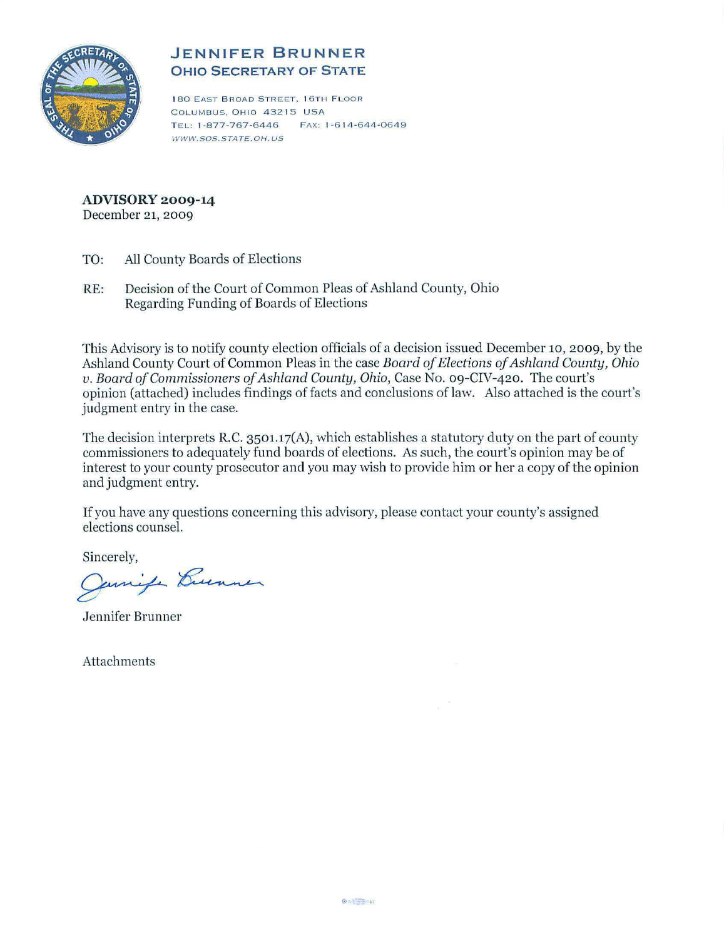

# **JENNIFER BRUNNER OHIO SECRETARY OF STATE**

180 EAST BROAD STREET, 16TH FLOOR COLUMBUS, OHIO 43215 USA TEL: 1-877-767-6446 FAX: 1-614-644-0649 WWW.SOS.STATE.OH. US

#### **ADVISORY 2009-14**  December 21, 2009

- TO: All County Boards of Elections
- RE: Decision of the Court of Common Pleas of Ashland County, Ohio Regarding Funding of Boards of Elections

This Advisory is to notify county election officials of a decision issued December 10, 2009, by the Ashland County Court of Common Pleas in the case *Board of Elections of Ashland County*, *Ohio v. Board of Commissioners of Ashland County, Ohio, Case No. 09-CIV-420. The court's* opinion (attached) includes findings offacts and conclusions oflaw. Also attached is the court's judgment entry in the case.

The decision interprets R.C. 3501.17(A), which establishes a statutory duty on the part of county commissioners to adequately fund boards of elections. As such, the court's opinion may be of interest to your county prosecutor and you may wish to provide him or her a copy of the opinion and judgment entry.

If you have any questions concerning this advisory, please contact your county's assigned elections counsel.

Sincerely,

amife Burnner

Jennifer Brunner

Attachments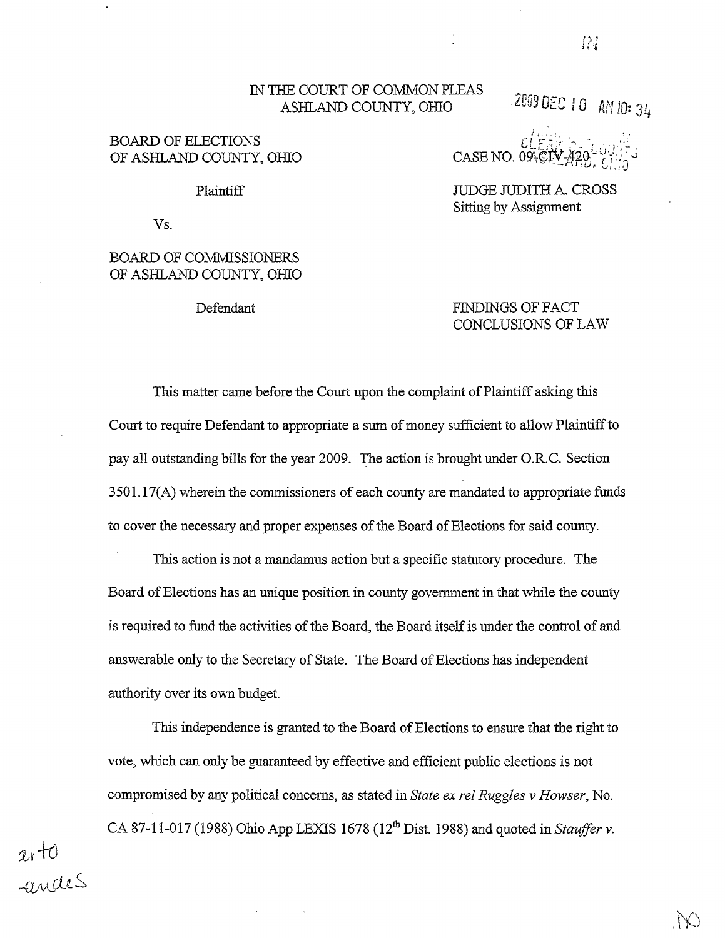### IN THE COURT OF COMMON PLEAS ASHLAND COUNTY, *omo*

2009 DEC 10 AM 10: 34

### BOARD OF ELECTIONS OF ASHLAND COUNTY, *omo*

CASE NO. 09

Plaintiff nide and the number of the NIDGE JUDITH A. CROSS Sitting by Assignment

Vs.

 $v\!+\!o$ 

 $\mathsf{I}$ 

 $g_{\mu\nu}$ cles

## BOARD OF COMMISSIONERS OF ASHLAND COUNTY, *omo*

Defendant FINDINGS OF FACT CONCLUSIONS OF LAW

This matter came before the Court upon the complaint of Plaintiff asking this Court to require Defendant to appropriate a sum of money sufficient to allow Plaintiff to pay all outstanding bills for the year 2009. 'The action is brought under O.R.C. Section 3501.17(A) wherein the commissioners of each county are mandated to appropriate funds to cover the necessary and proper expenses of the Board of Elections for said county.

This action is not a mandamus action but a specific statutory procedure. The Board of Elections has an unique position in county government in that while the county is required to fund the activities of the Board, the Board itself is under the control of and answerable only to the Secretary of State. The Board of Elections has independent authority over its own budget.

This independence is granted to the Board of Elections to ensure that the right to vote, which can only be guaranteed by effective and efficient public elections is not compromised by any political concerns, as stated in *State ex rel Ruggles v Howser,* No. CA 87-11-017 (1988) Ohio App LEXIS 1678 ( $12<sup>th</sup>$  Dist. 1988) and quoted in *Stauffer v*.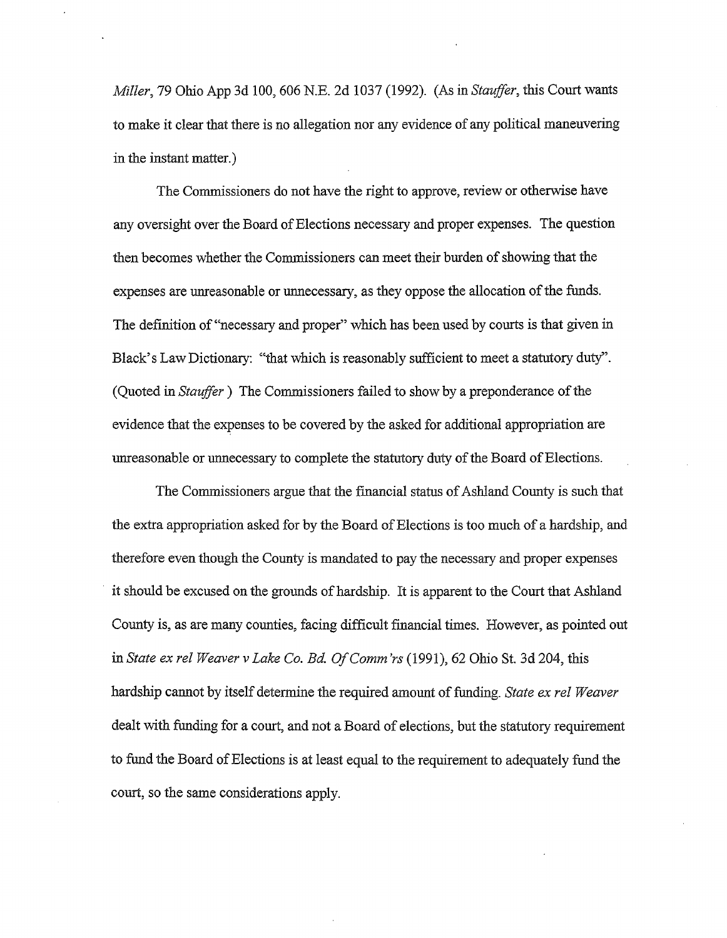*Miller,* 79 Ohio App 3d 100,606 N.E. 2d 1037 (1992). (As in *Stauffer,* this Court wants to make it clear that there is no allegation nor any evidence of any political maneuvering in the instant matter.)

The Commissioners do not have the right to approve, review or otherwise have any oversight over the Board of Elections necessary and proper expenses. The question then becomes whether the Commissioners can meet their burden of showing that the expenses are unreasonable or unnecessary, as they oppose the allocation of the funds. The definition of "necessary and proper" which has been used by courts is that given in Black's Law Dictionary: "that which is reasonably sufficient to meet a statutory duty". (Quoted in *Stauffer*) The Commissioners failed to show by a preponderance of the evidence that the expenses to be covered by the asked for additional appropriation are unreasonable or unnecessary to complete the statutory duty of the Board of Elections.

The Commissioners argue that the financial status of Ashland County is such that the extra appropriation asked for by the Board of Elections is too much of a hardship, and therefore even though the County is mandated to pay the necessary and proper expenses it should be excused on the grounds of hardship. It is apparent to the Court that Ashland County is, as are many counties, facing difficult financial times. However, as pointed out in *State ex rel Weaver v Lake Co. Ed OfComm 'rs* (1991), 62 Ohio St. 3d 204, this hardship cannot by itself determine the required amount of funding. *State ex rel Weaver* dealt with funding for a court, and not a Board of elections, but the statutory requirement to fund the Board of Elections is at least equal to the requirement to adequately fund the court, so the same considerations apply.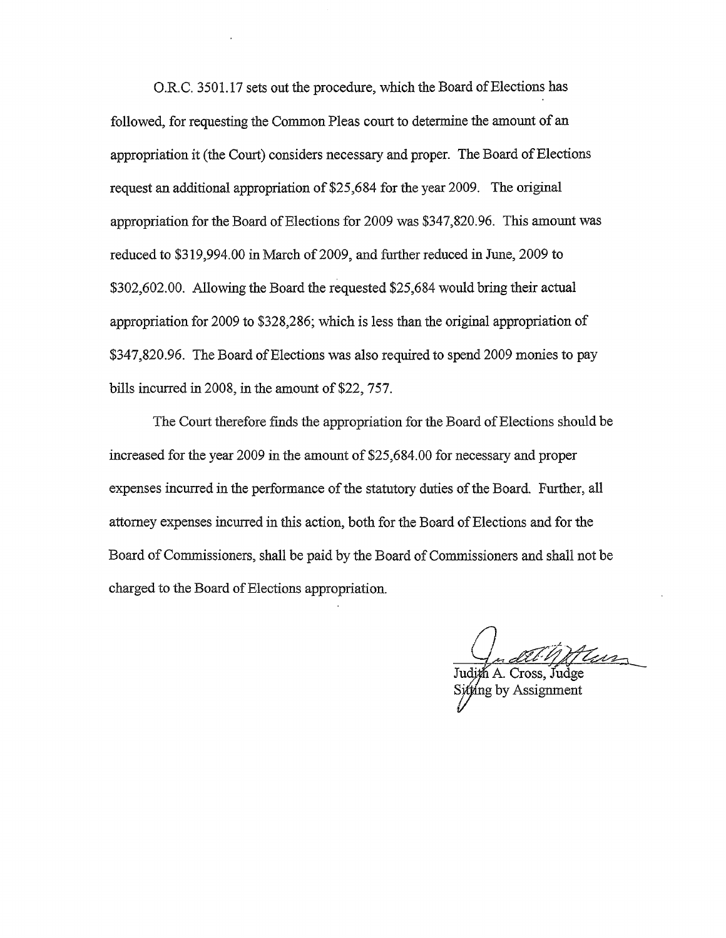O.R.C. 3501.17 sets out the procedure, which the Board of Elections has followed, for requesting the Common Pleas court to determine the amount of an appropriation it (the Court) considers necessary and proper. The Board of Elections request an additional appropriation of \$25,684 for the year 2009. The original appropriation for the Board of Elections for 2009 was \$347,820.96. This amount was reduced to \$319,994.00 in March of 2009, and further reduced in June, 2009 to \$302,602.00. Allowing the Board the requested \$25,684 would bring their actual appropriation for 2009 to \$328,286; which is less than the original appropriation of \$347,820.96. The Board of Elections was also required to spend 2009 monies to pay bills incurred in 2008, in the amount of \$22, 757.

The Court therefore finds the appropriation for the Board of Elections should be increased for the year 2009 in the amount of \$25,684.00 for necessary and proper expenses incurred in the performance of the statutory duties of the Board. Further, all attorney expenses incurred in this action, both for the Board of Elections and for the Board of Commissioners, shall be paid by the Board of Commissioners and shall not be charged to the Board of Elections appropriation.

 $\frac{1}{\text{width}}$  A Cross Indee

g by Assigmnent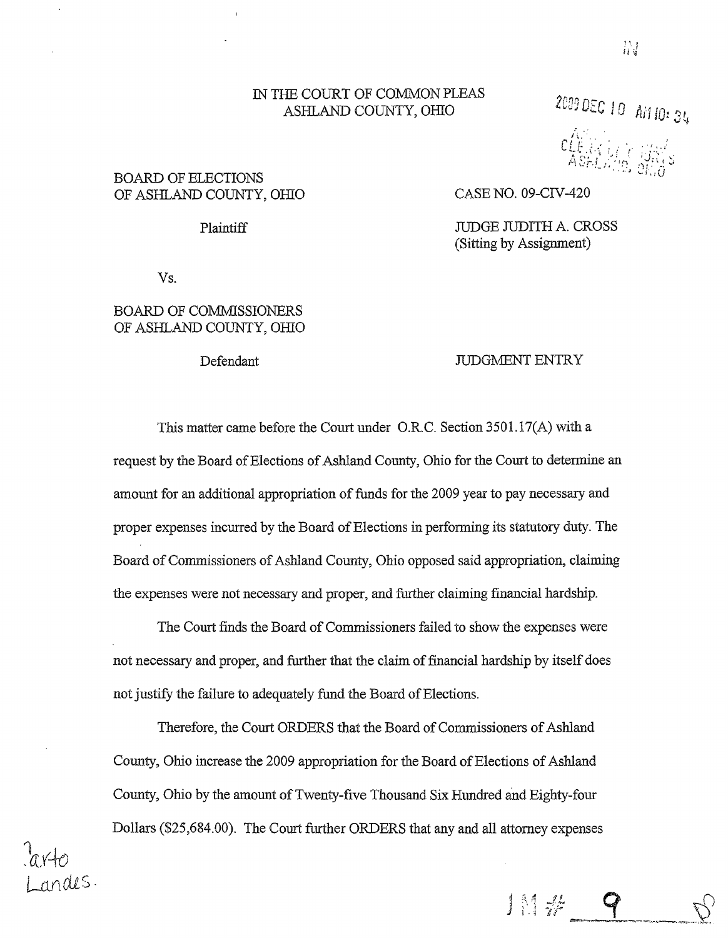#### IN THE COURT OF COMMON PLEAS ASHLAND COUNTY, OHIO

## BOARD OF ELECTIONS OF ASHLAND COUNTY, OHIO CASE NO. 09-CIV-420

Plaintiff JUDGE JUDITH A. CROSS (Sitting by Assignment)

Vs.

nales

## BOARD OF COMMISSIONERS OF ASHLAND COUNTY, OHIO

#### Defendant JUDGMENT ENTRY

1 1 # 9

This matter came before the Court under O.R.C. Section 3501.17(A) with a request by the Board of Elections of Ashland County, Ohio for the Court to determine an amount for an additional appropriation of funds for the 2009 year to pay necessary and proper expenses incurred by the Board of Elections in performing its statutory duty. The Board of Commissioners of Ashland County, Ohio opposed said appropriation, claiming the expenses were not necessary and proper, and further claiming financial hardship.

The Court finds the Board of Commissioners failed to show the expenses were not necessary and proper, and further that the claim of financial hardship by itself does not justify the failure to adequately fund the Board of Elections.

Therefore, the Court ORDERS that the Board of Commissioners of Ashland County, Ohio increase the 2009 appropriation for the Board of Elections of Ashland County, Ohio by the amount ofTwenty-five Thousand Six Hundred and Eighty-four Dollars (\$25,684.00). The Court further ORDERS that any and all attorney expenses Ai1 ID: 34